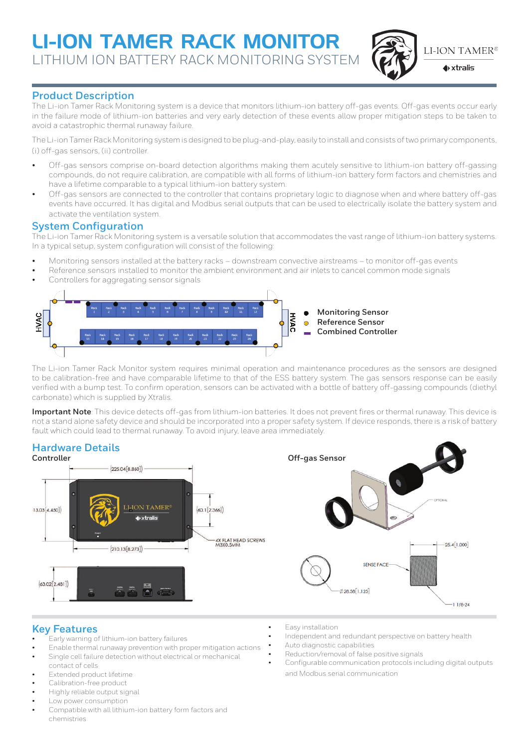# Li-ion Tamer Rack Monitor LITHIUM ION BATTERY RACK MONITORING SYSTEM



**LI-ION TAMER®** 

 $\blacklozenge$  xtralis

# **Product Description**

The Li-ion Tamer Rack Monitoring system is a device that monitors lithium-ion battery off-gas events. Off-gas events occur early in the failure mode of lithium-ion batteries and very early detection of these events allow proper mitigation steps to be taken to avoid a catastrophic thermal runaway failure.

The Li-ion Tamer Rack Monitoring system is designed to be plug-and-play, easily to install and consists of two primary components, (i) off-gas sensors, (ii) controller.

- Off-gas sensors comprise on-board detection algorithms making them acutely sensitive to lithium-ion battery off-gassing compounds, do not require calibration, are compatible with all forms of lithium-ion battery form factors and chemistries and have a lifetime comparable to a typical lithium-ion battery system.
- Off-gas sensors are connected to the controller that contains proprietary logic to diagnose when and where battery off-gas events have occurred. It has digital and Modbus serial outputs that can be used to electrically isolate the battery system and activate the ventilation system.

## **System Configuration**

The Li-ion Tamer Rack Monitoring system is a versatile solution that accommodates the vast range of lithium-ion battery systems. In a typical setup, system configuration will consist of the following:

- Monitoring sensors installed at the battery racks downstream convective airstreams to monitor off-gas events
- Reference sensors installed to monitor the ambient environment and air inlets to cancel common mode signals
- Controllers for aggregating sensor signals



The Li-ion Tamer Rack Monitor system requires minimal operation and maintenance procedures as the sensors are designed to be calibration-free and have comparable lifetime to that of the ESS battery system. The gas sensors response can be easily verified with a bump test. To confirm operation, sensors can be activated with a bottle of battery off-gassing compounds (diethyl carbonate) which is supplied by Xtralis.

**Important Note**: This device detects off-gas from lithium-ion batteries. It does not prevent fires or thermal runaway. This device is not a stand alone safety device and should be incorporated into a proper safety system. If device responds, there is a risk of battery fault which could lead to thermal runaway. To avoid injury, leave area immediately.



## **Key Features**

- Early warning of lithium-ion battery failures
- Enable thermal runaway prevention with proper mitigation actions Single cell failure detection without electrical or mechanical
- contact of cells Extended product lifetime
- Calibration-free product
- Highly reliable output signal
- Low power consumption
- Compatible with all lithium-ion battery form factors and chemistries
- Easy installation
- Independent and redundant perspective on battery health
- Auto diagnostic capabilities
- Reduction/removal of false positive signals
- Configurable communication protocols including digital outputs and Modbus serial communication